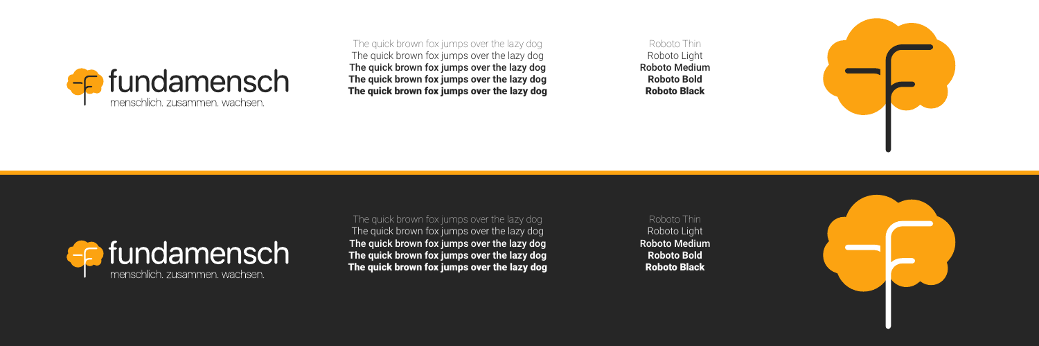The quick brown fox jumps over the lazy dog The quick brown fox jumps over the lazy dog The quick brown fox jumps over the lazy dog **The quick brown fox jumps over the lazy dog** The quick brown fox jumps over the lazy dog



The quick brown fox jumps over the lazy dog The quick brown fox jumps over the lazy dog The quick brown fox jumps over the lazy dog **The quick brown fox jumps over the lazy dog** The quick brown fox jumps over the lazy dog

> Roboto Thin Roboto Light Roboto Medium **Roboto Bold** Roboto Black





Roboto Thin Roboto Light Roboto Medium **Roboto Bold** Roboto Black

# **F** fundamensch menschlich, zusammen, wachsen,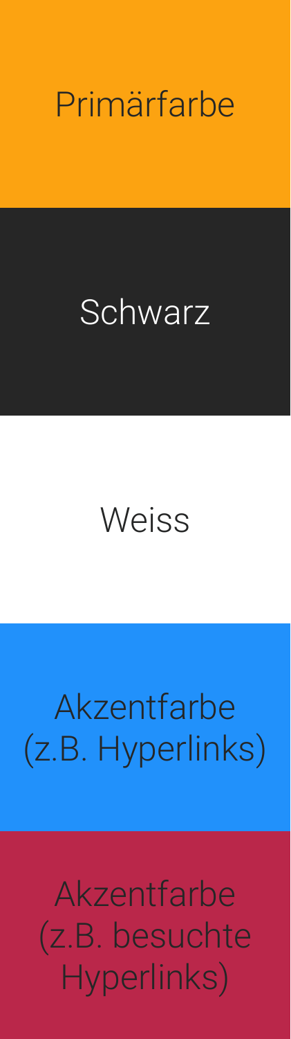

### **Schwarz**

### **Weiss**

## Akzentfarbe (z.B. Hyperlinks)

**Akzentfarbe** (z.B. besuchte Hyperlinks)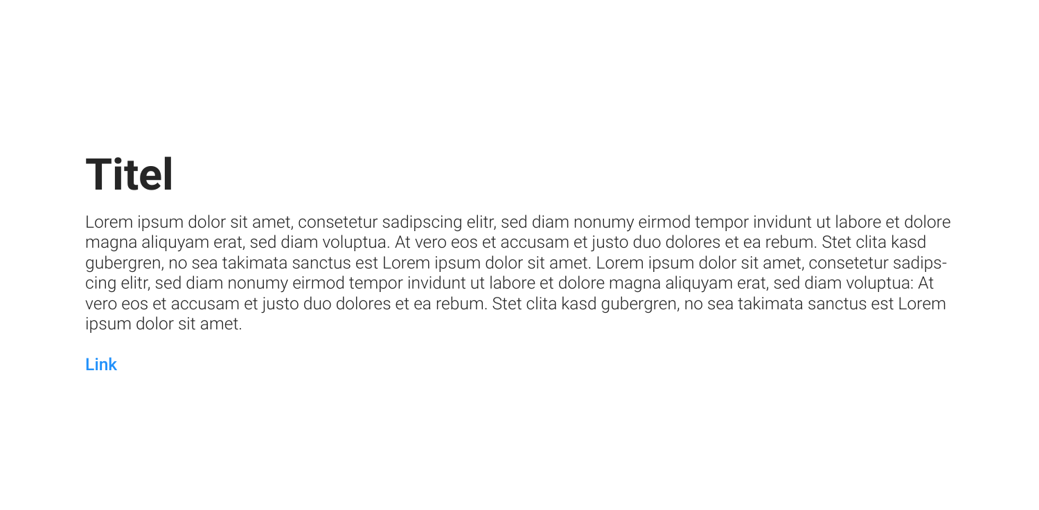# **Titel**

Lorem ipsum dolor sit amet, consetetur sadipscing elitr, sed diam nonumy eirmod tempor invidunt ut labore et dolore magna aliquyam erat, sed diam voluptua. At vero eos et accusam et justo duo dolores et ea rebum. Stet clita kasd gubergren, no sea takimata sanctus est Lorem ipsum dolor sit amet. Lorem ipsum dolor sit amet, consetetur sadipscing elitr, sed diam nonumy eirmod tempor invidunt ut labore et dolore magna aliquyam erat, sed diam voluptua: At vero eos et accusam et justo duo dolores et ea rebum. Stet clita kasd gubergren, no sea takimata sanctus est Lorem ipsum dolor sit amet.

# Link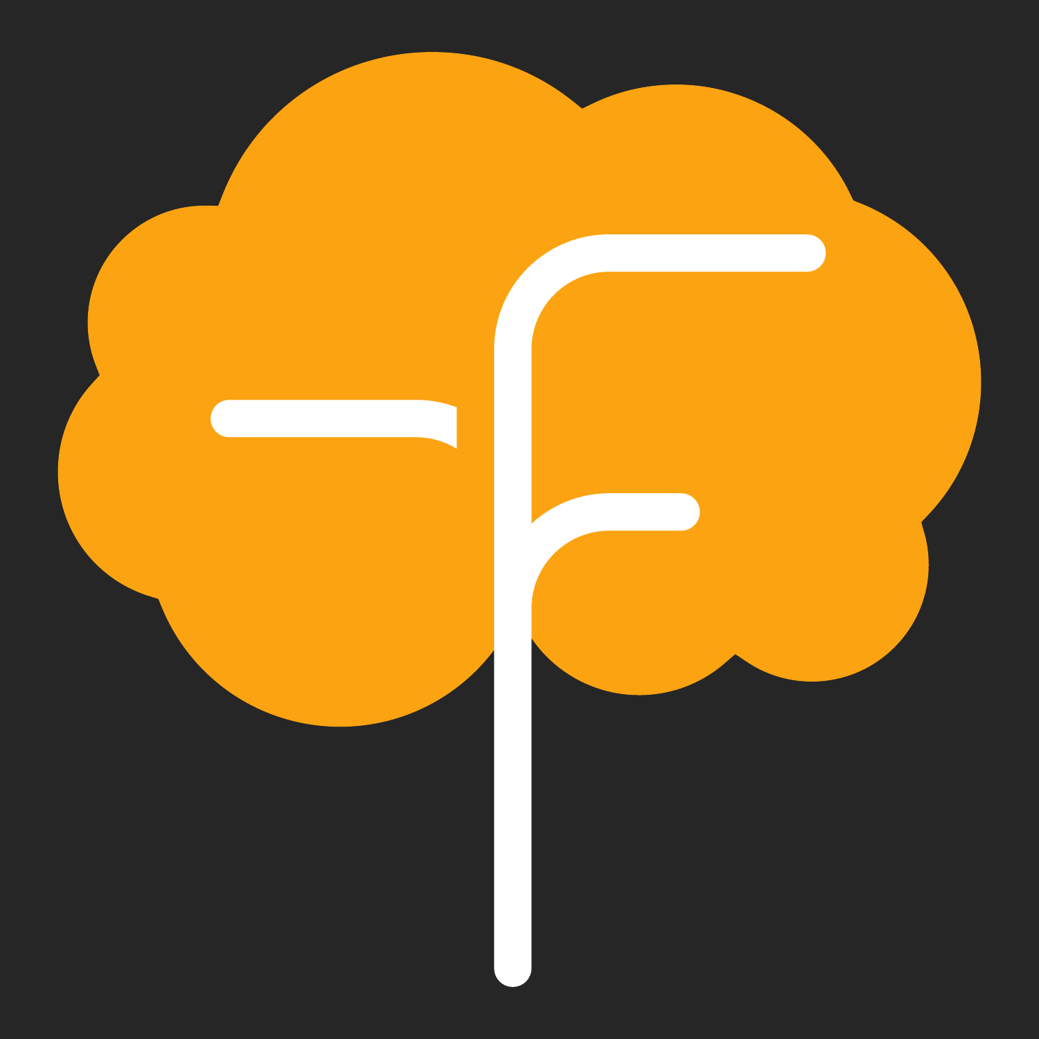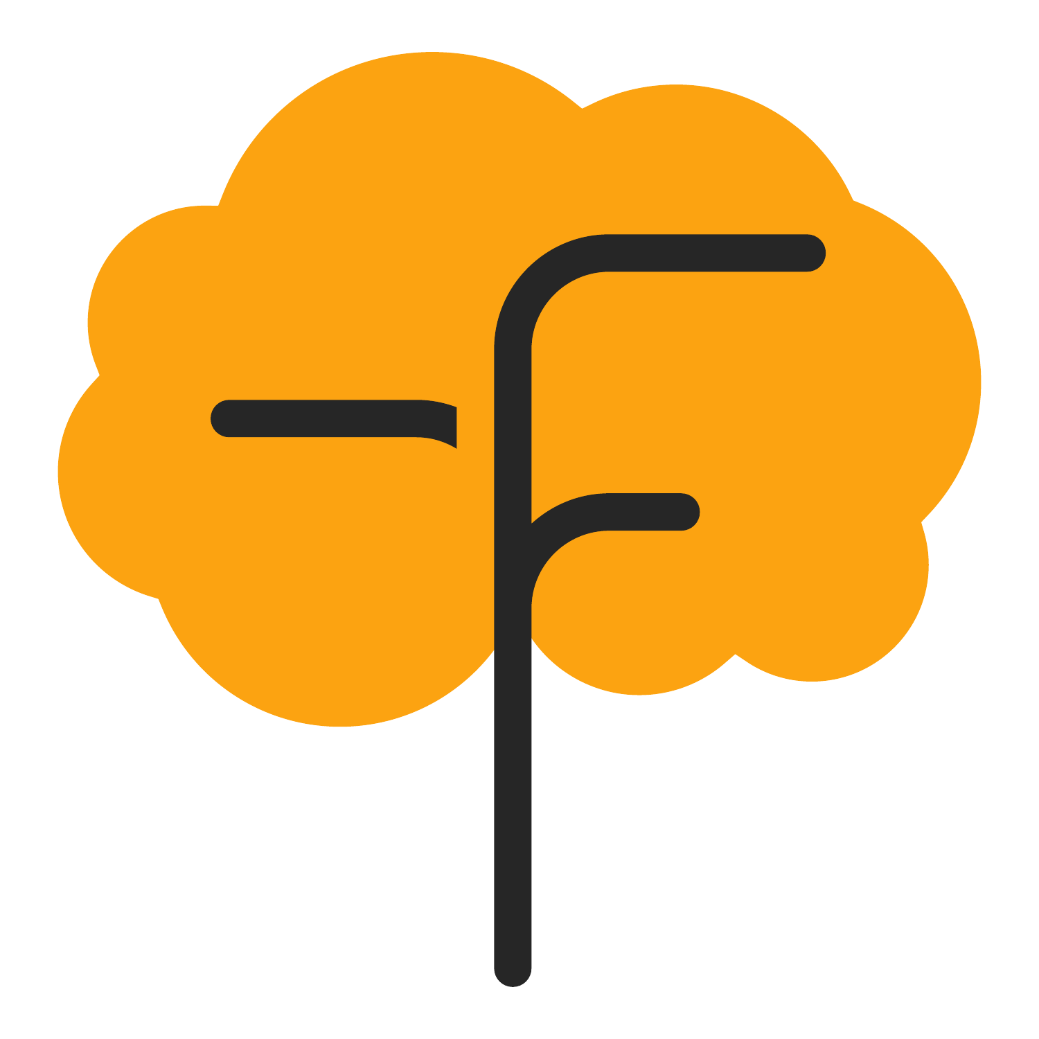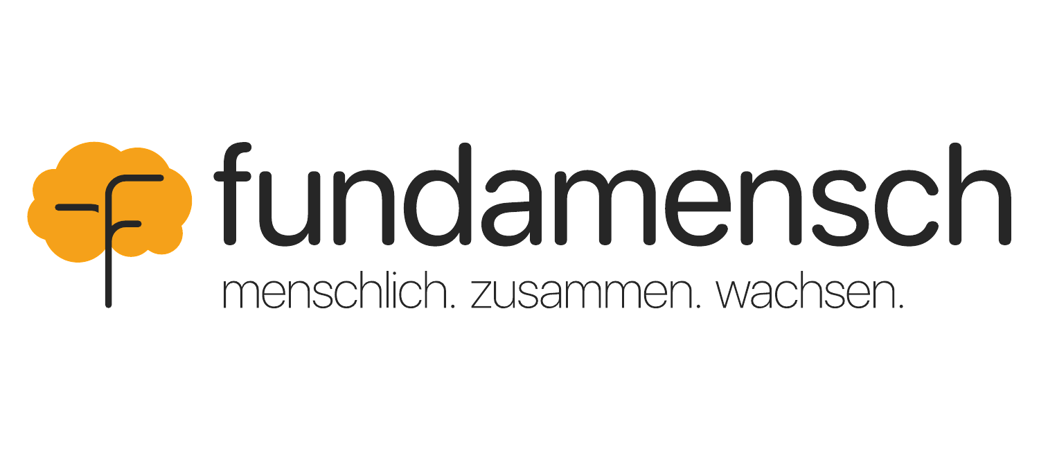# **F fundamensch**<br>menschlich. zusammen. wachsen.